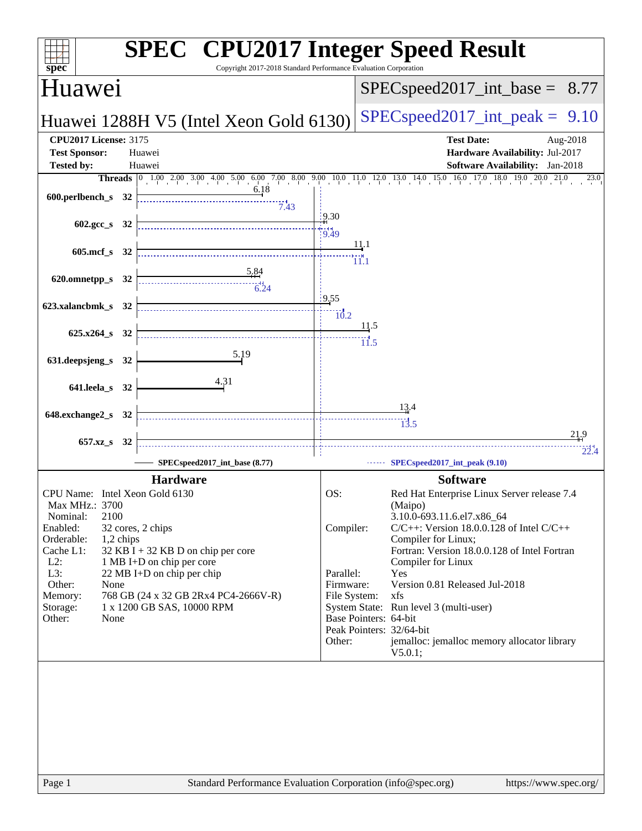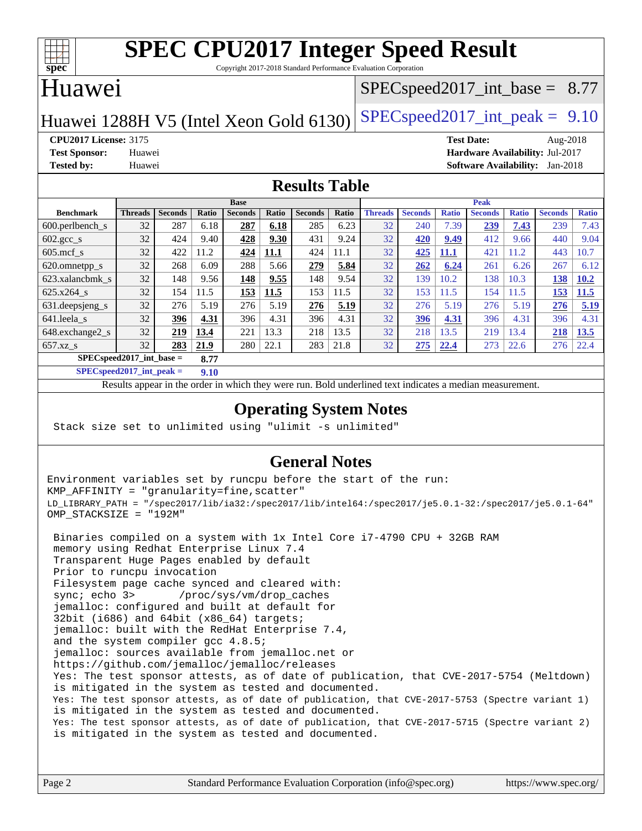

Copyright 2017-2018 Standard Performance Evaluation Corporation

#### Huawei

#### $SPECspeed2017\_int\_base = 8.77$

Huawei 1288H V5 (Intel Xeon Gold 6130) SPECspeed 2017\_int\_peak =  $9.10$ 

**[CPU2017 License:](http://www.spec.org/auto/cpu2017/Docs/result-fields.html#CPU2017License)** 3175 **[Test Date:](http://www.spec.org/auto/cpu2017/Docs/result-fields.html#TestDate)** Aug-2018 **[Test Sponsor:](http://www.spec.org/auto/cpu2017/Docs/result-fields.html#TestSponsor)** Huawei **[Hardware Availability:](http://www.spec.org/auto/cpu2017/Docs/result-fields.html#HardwareAvailability)** Jul-2017 **[Tested by:](http://www.spec.org/auto/cpu2017/Docs/result-fields.html#Testedby)** Huawei **[Software Availability:](http://www.spec.org/auto/cpu2017/Docs/result-fields.html#SoftwareAvailability)** Jan-2018

#### **[Results Table](http://www.spec.org/auto/cpu2017/Docs/result-fields.html#ResultsTable)**

|                                    | <b>Base</b>    |                |       |                | <b>Peak</b> |                |       |                |                |              |                |              |                |              |
|------------------------------------|----------------|----------------|-------|----------------|-------------|----------------|-------|----------------|----------------|--------------|----------------|--------------|----------------|--------------|
| <b>Benchmark</b>                   | <b>Threads</b> | <b>Seconds</b> | Ratio | <b>Seconds</b> | Ratio       | <b>Seconds</b> | Ratio | <b>Threads</b> | <b>Seconds</b> | <b>Ratio</b> | <b>Seconds</b> | <b>Ratio</b> | <b>Seconds</b> | <b>Ratio</b> |
| $600.$ perlbench $_s$              | 32             | 287            | 6.18  | 287            | 6.18        | 285            | 6.23  | 32             | 240            | 7.39         | 239            | 7.43         | 239            | 7.43         |
| $602.\text{gcc}\_\text{s}$         | 32             | 424            | 9.40  | 428            | 9.30        | 431            | 9.24  | 32             | 420            | 9.49         | 412            | 9.66         | 440            | 9.04         |
| $605$ .mcf s                       | 32             | 422            | 11.2  | 424            | 11.1        | 424            | 11.1  | 32             | 425            | 11.1         | 421            | 11.2         | 443            | 10.7         |
| 620.omnetpp_s                      | 32             | 268            | 6.09  | 288            | 5.66        | 279            | 5.84  | 32             | 262            | 6.24         | 261            | 6.26         | 267            | 6.12         |
| 623.xalancbmk s                    | 32             | 148            | 9.56  | 148            | 9.55        | 148            | 9.54  | 32             | 139            | 10.2         | 138            | 10.3         | 138            | 10.2         |
| $625.x264$ s                       | 32             | 154            | 11.5  | 153            | 11.5        | 153            | 11.5  | 32             | 153            | 11.5         | 154            | 11.5         | 153            | 11.5         |
| 631.deepsjeng_s                    | 32             | 276            | 5.19  | 276            | 5.19        | 276            | 5.19  | 32             | 276            | 5.19         | 276            | 5.19         | 276            | 5.19         |
| 641.leela s                        | 32             | 396            | 4.31  | 396            | 4.31        | 396            | 4.31  | 32             | 396            | 4.31         | 396            | 4.31         | 396            | 4.31         |
| 648.exchange2_s                    | 32             | 219            | 13.4  | 221            | 13.3        | 218            | 13.5  | 32             | 218            | 13.5         | 219            | 3.4          | 218            | <b>13.5</b>  |
| $657.xz$ s                         | 32             | 283            | 21.9  | 280            | 22.1        | 283            | 21.8  | 32             | 275            | 22.4         | 273            | 22.6         | 276            | 22.4         |
| $SPECspeed2017$ int base =<br>8.77 |                |                |       |                |             |                |       |                |                |              |                |              |                |              |

**[SPECspeed2017\\_int\\_peak =](http://www.spec.org/auto/cpu2017/Docs/result-fields.html#SPECspeed2017intpeak) 9.10**

Results appear in the [order in which they were run.](http://www.spec.org/auto/cpu2017/Docs/result-fields.html#RunOrder) Bold underlined text [indicates a median measurement](http://www.spec.org/auto/cpu2017/Docs/result-fields.html#Median).

#### **[Operating System Notes](http://www.spec.org/auto/cpu2017/Docs/result-fields.html#OperatingSystemNotes)**

Stack size set to unlimited using "ulimit -s unlimited"

#### **[General Notes](http://www.spec.org/auto/cpu2017/Docs/result-fields.html#GeneralNotes)**

Environment variables set by runcpu before the start of the run: KMP\_AFFINITY = "granularity=fine,scatter" LD\_LIBRARY\_PATH = "/spec2017/lib/ia32:/spec2017/lib/intel64:/spec2017/je5.0.1-32:/spec2017/je5.0.1-64" OMP\_STACKSIZE = "192M"

 Binaries compiled on a system with 1x Intel Core i7-4790 CPU + 32GB RAM memory using Redhat Enterprise Linux 7.4 Transparent Huge Pages enabled by default Prior to runcpu invocation Filesystem page cache synced and cleared with: sync; echo 3> /proc/sys/vm/drop\_caches jemalloc: configured and built at default for 32bit (i686) and 64bit (x86\_64) targets; jemalloc: built with the RedHat Enterprise 7.4, and the system compiler gcc 4.8.5; jemalloc: sources available from jemalloc.net or <https://github.com/jemalloc/jemalloc/releases> Yes: The test sponsor attests, as of date of publication, that CVE-2017-5754 (Meltdown) is mitigated in the system as tested and documented. Yes: The test sponsor attests, as of date of publication, that CVE-2017-5753 (Spectre variant 1) is mitigated in the system as tested and documented. Yes: The test sponsor attests, as of date of publication, that CVE-2017-5715 (Spectre variant 2) is mitigated in the system as tested and documented.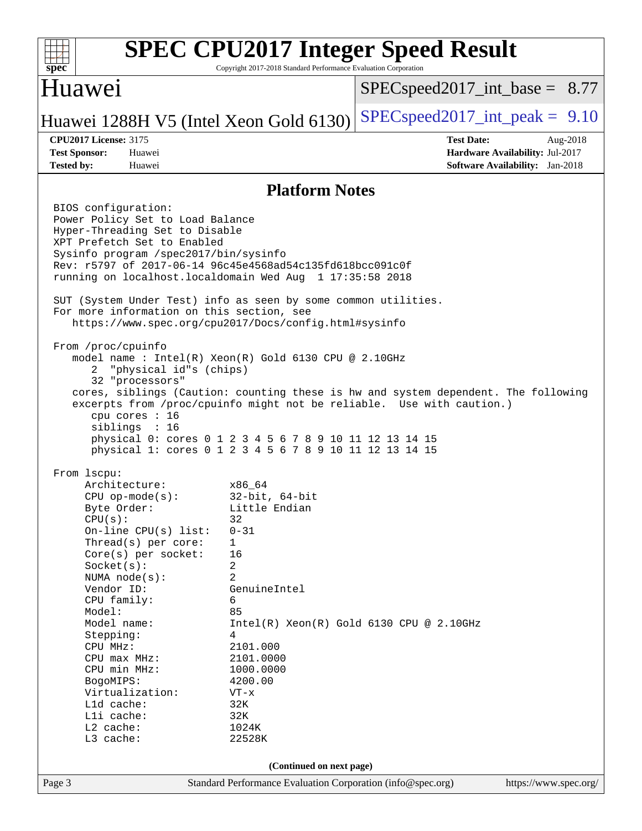

Copyright 2017-2018 Standard Performance Evaluation Corporation

#### Huawei

 $SPECspeed2017\_int\_base = 8.77$ 

### Huawei 1288H V5 (Intel Xeon Gold 6130) SPECspeed 2017\_int\_peak =  $9.10$

**[CPU2017 License:](http://www.spec.org/auto/cpu2017/Docs/result-fields.html#CPU2017License)** 3175 **[Test Date:](http://www.spec.org/auto/cpu2017/Docs/result-fields.html#TestDate)** Aug-2018 **[Test Sponsor:](http://www.spec.org/auto/cpu2017/Docs/result-fields.html#TestSponsor)** Huawei **[Hardware Availability:](http://www.spec.org/auto/cpu2017/Docs/result-fields.html#HardwareAvailability)** Jul-2017 **[Tested by:](http://www.spec.org/auto/cpu2017/Docs/result-fields.html#Testedby)** Huawei **[Software Availability:](http://www.spec.org/auto/cpu2017/Docs/result-fields.html#SoftwareAvailability)** Jan-2018

#### **[Platform Notes](http://www.spec.org/auto/cpu2017/Docs/result-fields.html#PlatformNotes)**

Page 3 Standard Performance Evaluation Corporation [\(info@spec.org\)](mailto:info@spec.org) <https://www.spec.org/> BIOS configuration: Power Policy Set to Load Balance Hyper-Threading Set to Disable XPT Prefetch Set to Enabled Sysinfo program /spec2017/bin/sysinfo Rev: r5797 of 2017-06-14 96c45e4568ad54c135fd618bcc091c0f running on localhost.localdomain Wed Aug 1 17:35:58 2018 SUT (System Under Test) info as seen by some common utilities. For more information on this section, see <https://www.spec.org/cpu2017/Docs/config.html#sysinfo> From /proc/cpuinfo model name : Intel(R) Xeon(R) Gold 6130 CPU @ 2.10GHz 2 "physical id"s (chips) 32 "processors" cores, siblings (Caution: counting these is hw and system dependent. The following excerpts from /proc/cpuinfo might not be reliable. Use with caution.) cpu cores : 16 siblings : 16 physical 0: cores 0 1 2 3 4 5 6 7 8 9 10 11 12 13 14 15 physical 1: cores 0 1 2 3 4 5 6 7 8 9 10 11 12 13 14 15 From lscpu: Architecture: x86\_64 CPU op-mode(s): 32-bit, 64-bit Byte Order: Little Endian  $CPU(s):$  32 On-line CPU(s) list: 0-31 Thread(s) per core: 1 Core(s) per socket: 16 Socket(s): 2 NUMA node(s): 2 Vendor ID: GenuineIntel CPU family: 6 Model: 85 Model name:  $Intel(R)$  Xeon(R) Gold 6130 CPU @ 2.10GHz Stepping: 4 CPU MHz: 2101.000 CPU max MHz: 2101.0000 CPU min MHz: 1000.0000 BogoMIPS: 4200.00 Virtualization: VT-x L1d cache: 32K<br>
L1i cache: 32K  $L1i$  cache: L2 cache: 1024K L3 cache: 22528K **(Continued on next page)**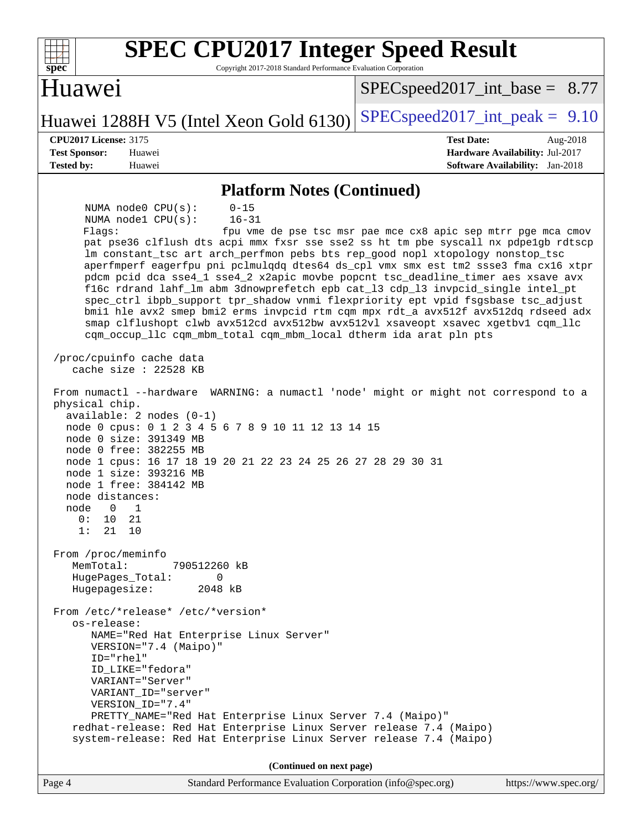| <b>SPEC CPU2017 Integer Speed Result</b><br>spec <sup>®</sup><br>Copyright 2017-2018 Standard Performance Evaluation Corporation                                                                                                                                                                                                                                                                                                                                                                                                                                                                                                                                                                                                                                                                                                                                                                                                                                                                                                                                                                                                                                                                                                                                                                                                                                                                                                                                                                                                                                                                                                                                                                                                                                                                                                                                                  |                                                                                                            |
|-----------------------------------------------------------------------------------------------------------------------------------------------------------------------------------------------------------------------------------------------------------------------------------------------------------------------------------------------------------------------------------------------------------------------------------------------------------------------------------------------------------------------------------------------------------------------------------------------------------------------------------------------------------------------------------------------------------------------------------------------------------------------------------------------------------------------------------------------------------------------------------------------------------------------------------------------------------------------------------------------------------------------------------------------------------------------------------------------------------------------------------------------------------------------------------------------------------------------------------------------------------------------------------------------------------------------------------------------------------------------------------------------------------------------------------------------------------------------------------------------------------------------------------------------------------------------------------------------------------------------------------------------------------------------------------------------------------------------------------------------------------------------------------------------------------------------------------------------------------------------------------|------------------------------------------------------------------------------------------------------------|
| Huawei                                                                                                                                                                                                                                                                                                                                                                                                                                                                                                                                                                                                                                                                                                                                                                                                                                                                                                                                                                                                                                                                                                                                                                                                                                                                                                                                                                                                                                                                                                                                                                                                                                                                                                                                                                                                                                                                            | $SPEC speed2017\_int\_base = 8.77$                                                                         |
| Huawei 1288H V5 (Intel Xeon Gold 6130)                                                                                                                                                                                                                                                                                                                                                                                                                                                                                                                                                                                                                                                                                                                                                                                                                                                                                                                                                                                                                                                                                                                                                                                                                                                                                                                                                                                                                                                                                                                                                                                                                                                                                                                                                                                                                                            | $SPEC speed2017\_int\_peak = 9.10$                                                                         |
| <b>CPU2017 License: 3175</b><br><b>Test Sponsor:</b><br>Huawei<br><b>Tested by:</b><br>Huawei                                                                                                                                                                                                                                                                                                                                                                                                                                                                                                                                                                                                                                                                                                                                                                                                                                                                                                                                                                                                                                                                                                                                                                                                                                                                                                                                                                                                                                                                                                                                                                                                                                                                                                                                                                                     | <b>Test Date:</b><br>Aug-2018<br>Hardware Availability: Jul-2017<br><b>Software Availability:</b> Jan-2018 |
|                                                                                                                                                                                                                                                                                                                                                                                                                                                                                                                                                                                                                                                                                                                                                                                                                                                                                                                                                                                                                                                                                                                                                                                                                                                                                                                                                                                                                                                                                                                                                                                                                                                                                                                                                                                                                                                                                   |                                                                                                            |
| <b>Platform Notes (Continued)</b><br>NUMA node0 CPU(s):<br>$0 - 15$<br>$16 - 31$<br>NUMA nodel CPU(s):<br>Flags:<br>pat pse36 clflush dts acpi mmx fxsr sse sse2 ss ht tm pbe syscall nx pdpe1gb rdtscp<br>lm constant_tsc art arch_perfmon pebs bts rep_good nopl xtopology nonstop_tsc<br>aperfmperf eagerfpu pni pclmulqdq dtes64 ds_cpl vmx smx est tm2 ssse3 fma cx16 xtpr<br>pdcm pcid dca sse4_1 sse4_2 x2apic movbe popcnt tsc_deadline_timer aes xsave avx<br>f16c rdrand lahf_lm abm 3dnowprefetch epb cat_13 cdp_13 invpcid_single intel_pt<br>spec_ctrl ibpb_support tpr_shadow vnmi flexpriority ept vpid fsgsbase tsc_adjust<br>bmil hle avx2 smep bmi2 erms invpcid rtm cqm mpx rdt_a avx512f avx512dq rdseed adx<br>smap clflushopt clwb avx512cd avx512bw avx512vl xsaveopt xsavec xgetbvl cqm_llc<br>cqm_occup_llc cqm_mbm_total cqm_mbm_local dtherm ida arat pln pts<br>/proc/cpuinfo cache data<br>cache size : $22528$ KB<br>From numactl --hardware WARNING: a numactl 'node' might or might not correspond to a<br>physical chip.<br>$available: 2 nodes (0-1)$<br>node 0 cpus: 0 1 2 3 4 5 6 7 8 9 10 11 12 13 14 15<br>node 0 size: 391349 MB<br>node 0 free: 382255 MB<br>node 1 cpus: 16 17 18 19 20 21 22 23 24 25 26 27 28 29 30 31<br>node 1 size: 393216 MB<br>node 1 free: 384142 MB<br>node distances:<br>1<br>node<br>$\overline{0}$<br>0:<br>21<br>10<br>1:<br>21<br>10<br>From /proc/meminfo<br>MemTotal:<br>790512260 kB<br>HugePages_Total:<br>0<br>Hugepagesize:<br>2048 kB<br>From /etc/*release* /etc/*version*<br>os-release:<br>NAME="Red Hat Enterprise Linux Server"<br>VERSION="7.4 (Maipo)"<br>$ID="rhe1"$<br>ID_LIKE="fedora"<br>VARIANT="Server"<br>VARIANT_ID="server"<br>VERSION_ID="7.4"<br>PRETTY_NAME="Red Hat Enterprise Linux Server 7.4 (Maipo)"<br>redhat-release: Red Hat Enterprise Linux Server release 7.4 (Maipo) | fpu vme de pse tsc msr pae mce cx8 apic sep mtrr pge mca cmov                                              |
| system-release: Red Hat Enterprise Linux Server release 7.4 (Maipo)                                                                                                                                                                                                                                                                                                                                                                                                                                                                                                                                                                                                                                                                                                                                                                                                                                                                                                                                                                                                                                                                                                                                                                                                                                                                                                                                                                                                                                                                                                                                                                                                                                                                                                                                                                                                               |                                                                                                            |
| (Continued on next page)                                                                                                                                                                                                                                                                                                                                                                                                                                                                                                                                                                                                                                                                                                                                                                                                                                                                                                                                                                                                                                                                                                                                                                                                                                                                                                                                                                                                                                                                                                                                                                                                                                                                                                                                                                                                                                                          |                                                                                                            |

Page 4 Standard Performance Evaluation Corporation [\(info@spec.org\)](mailto:info@spec.org) <https://www.spec.org/>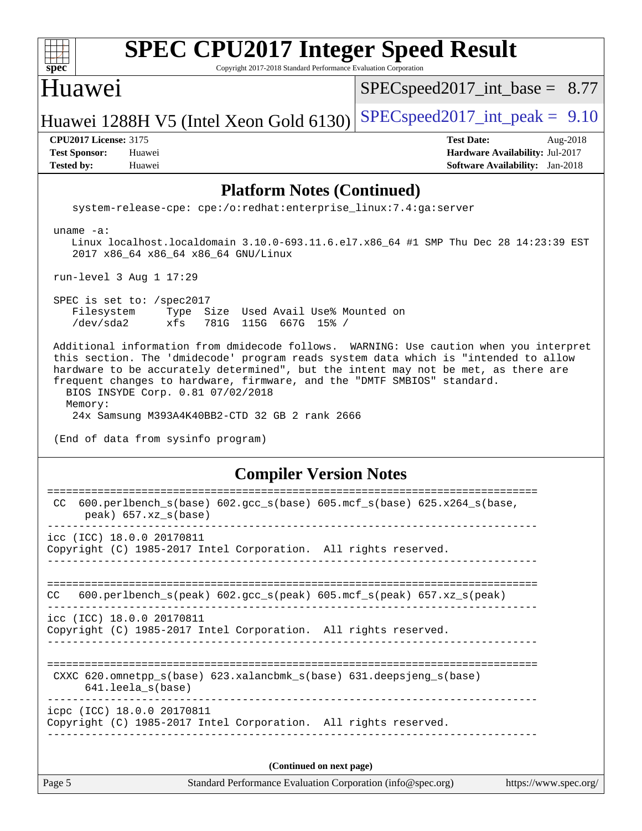| spec                         | <b>SPEC CPU2017 Integer Speed Result</b><br>Copyright 2017-2018 Standard Performance Evaluation Corporation                  |                                    |                                        |  |          |
|------------------------------|------------------------------------------------------------------------------------------------------------------------------|------------------------------------|----------------------------------------|--|----------|
| Huawei                       |                                                                                                                              | $SPEC speed2017\_int\_base = 8.77$ |                                        |  |          |
|                              | Huawei 1288H V5 (Intel Xeon Gold 6130)                                                                                       | $SPEC speed2017\_int\_peak = 9.10$ |                                        |  |          |
| <b>CPU2017 License: 3175</b> |                                                                                                                              |                                    | <b>Test Date:</b>                      |  | Aug-2018 |
| <b>Test Sponsor:</b>         | Huawei                                                                                                                       |                                    | Hardware Availability: Jul-2017        |  |          |
| <b>Tested by:</b>            | Huawei                                                                                                                       |                                    | <b>Software Availability:</b> Jan-2018 |  |          |
|                              | <b>Platform Notes (Continued)</b><br>system-release-cpe: cpe:/o:redhat:enterprise linux:7.4:qa:server                        |                                    |                                        |  |          |
| uname $-a$ :                 | Linux localhost.localdomain 3.10.0-693.11.6.el7.x86_64 #1 SMP Thu Dec 28 14:23:39 EST<br>2017 x86_64 x86_64 x86_64 GNU/Linux |                                    |                                        |  |          |
|                              | run-level $3$ Aug $1$ 17:29                                                                                                  |                                    |                                        |  |          |
| SPEC is set to: $/$ spec2017 |                                                                                                                              |                                    |                                        |  |          |

Filesystem Type Size Used Avail Use% Mounted on<br>
/dev/sda2 xfs 781G 115G 667G 15% / 781G 115G 667G 15% /

 Additional information from dmidecode follows. WARNING: Use caution when you interpret this section. The 'dmidecode' program reads system data which is "intended to allow hardware to be accurately determined", but the intent may not be met, as there are frequent changes to hardware, firmware, and the "DMTF SMBIOS" standard. BIOS INSYDE Corp. 0.81 07/02/2018 Memory: 24x Samsung M393A4K40BB2-CTD 32 GB 2 rank 2666

(End of data from sysinfo program)

#### **[Compiler Version Notes](http://www.spec.org/auto/cpu2017/Docs/result-fields.html#CompilerVersionNotes)**

|     | icpc (ICC) 18.0.0 20170811<br>Copyright (C) 1985-2017 Intel Corporation. All rights reserved.<br>(Continued on next page)                 |  |
|-----|-------------------------------------------------------------------------------------------------------------------------------------------|--|
|     |                                                                                                                                           |  |
|     |                                                                                                                                           |  |
|     | ================================<br>CXXC 620.omnetpp $s(base)$ 623.xalancbmk $s(base)$ 631.deepsjeng $s(base)$<br>$641.$ leela $s$ (base) |  |
|     | icc (ICC) 18.0.0 20170811<br>Copyright (C) 1985-2017 Intel Corporation. All rights reserved.                                              |  |
| CC. | $600. perlbench_s (peak) 602. gcc_s (peak) 605.mcf_s (peak) 657. xz_s (peak)$                                                             |  |
|     | icc (ICC) 18.0.0 20170811<br>Copyright (C) 1985-2017 Intel Corporation. All rights reserved.                                              |  |
| CC  | $600. perlbench_s(base) 602. gcc_s(base) 605.mcf_s(base) 625.x264_s(base,$<br>$peak)$ 657.xz $s(base)$<br>______________________________  |  |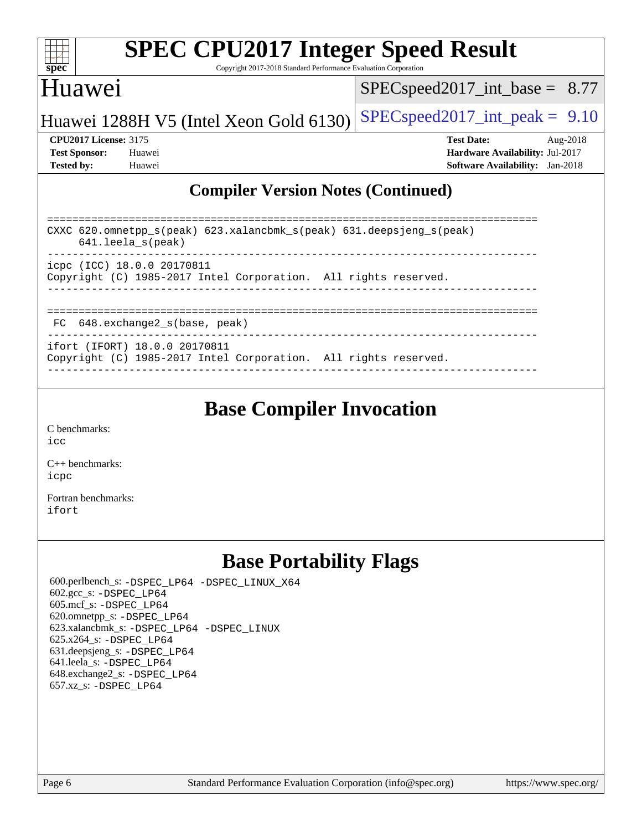

Copyright 2017-2018 Standard Performance Evaluation Corporation

#### Huawei

[SPECspeed2017\\_int\\_base =](http://www.spec.org/auto/cpu2017/Docs/result-fields.html#SPECspeed2017intbase) 8.77

Huawei 1288H V5 (Intel Xeon Gold 6130) [SPECspeed2017\\_int\\_peak =](http://www.spec.org/auto/cpu2017/Docs/result-fields.html#SPECspeed2017intpeak)  $9.10$ 

**[CPU2017 License:](http://www.spec.org/auto/cpu2017/Docs/result-fields.html#CPU2017License)** 3175 **[Test Date:](http://www.spec.org/auto/cpu2017/Docs/result-fields.html#TestDate)** Aug-2018 **[Test Sponsor:](http://www.spec.org/auto/cpu2017/Docs/result-fields.html#TestSponsor)** Huawei **[Hardware Availability:](http://www.spec.org/auto/cpu2017/Docs/result-fields.html#HardwareAvailability)** Jul-2017 **[Tested by:](http://www.spec.org/auto/cpu2017/Docs/result-fields.html#Testedby)** Huawei **[Software Availability:](http://www.spec.org/auto/cpu2017/Docs/result-fields.html#SoftwareAvailability)** Jan-2018

#### **[Compiler Version Notes \(Continued\)](http://www.spec.org/auto/cpu2017/Docs/result-fields.html#CompilerVersionNotes)**

| CXXC $620.\text{omnetpp_s}$ (peak) $623.\text{xalancbmk_s}$ (peak) $631.\text{deepsjeng_s}$ (peak)<br>$641.$ leela $s$ (peak)<br>___________________________ |
|--------------------------------------------------------------------------------------------------------------------------------------------------------------|
| icpc (ICC) 18.0.0 20170811<br>Copyright (C) 1985-2017 Intel Corporation. All rights reserved.                                                                |
| FC 648.exchange2_s(base, peak)                                                                                                                               |
| ifort (IFORT) 18.0.0 20170811<br>Copyright (C) 1985-2017 Intel Corporation. All rights reserved.                                                             |

------------------------------------------------------------------------------

### **[Base Compiler Invocation](http://www.spec.org/auto/cpu2017/Docs/result-fields.html#BaseCompilerInvocation)**

[C benchmarks](http://www.spec.org/auto/cpu2017/Docs/result-fields.html#Cbenchmarks): [icc](http://www.spec.org/cpu2017/results/res2018q3/cpu2017-20180802-08084.flags.html#user_CCbase_intel_icc_18.0_66fc1ee009f7361af1fbd72ca7dcefbb700085f36577c54f309893dd4ec40d12360134090235512931783d35fd58c0460139e722d5067c5574d8eaf2b3e37e92)

[C++ benchmarks:](http://www.spec.org/auto/cpu2017/Docs/result-fields.html#CXXbenchmarks) [icpc](http://www.spec.org/cpu2017/results/res2018q3/cpu2017-20180802-08084.flags.html#user_CXXbase_intel_icpc_18.0_c510b6838c7f56d33e37e94d029a35b4a7bccf4766a728ee175e80a419847e808290a9b78be685c44ab727ea267ec2f070ec5dc83b407c0218cded6866a35d07)

[Fortran benchmarks](http://www.spec.org/auto/cpu2017/Docs/result-fields.html#Fortranbenchmarks): [ifort](http://www.spec.org/cpu2017/results/res2018q3/cpu2017-20180802-08084.flags.html#user_FCbase_intel_ifort_18.0_8111460550e3ca792625aed983ce982f94888b8b503583aa7ba2b8303487b4d8a21a13e7191a45c5fd58ff318f48f9492884d4413fa793fd88dd292cad7027ca)

## **[Base Portability Flags](http://www.spec.org/auto/cpu2017/Docs/result-fields.html#BasePortabilityFlags)**

 600.perlbench\_s: [-DSPEC\\_LP64](http://www.spec.org/cpu2017/results/res2018q3/cpu2017-20180802-08084.flags.html#b600.perlbench_s_basePORTABILITY_DSPEC_LP64) [-DSPEC\\_LINUX\\_X64](http://www.spec.org/cpu2017/results/res2018q3/cpu2017-20180802-08084.flags.html#b600.perlbench_s_baseCPORTABILITY_DSPEC_LINUX_X64) 602.gcc\_s: [-DSPEC\\_LP64](http://www.spec.org/cpu2017/results/res2018q3/cpu2017-20180802-08084.flags.html#suite_basePORTABILITY602_gcc_s_DSPEC_LP64) 605.mcf\_s: [-DSPEC\\_LP64](http://www.spec.org/cpu2017/results/res2018q3/cpu2017-20180802-08084.flags.html#suite_basePORTABILITY605_mcf_s_DSPEC_LP64) 620.omnetpp\_s: [-DSPEC\\_LP64](http://www.spec.org/cpu2017/results/res2018q3/cpu2017-20180802-08084.flags.html#suite_basePORTABILITY620_omnetpp_s_DSPEC_LP64) 623.xalancbmk\_s: [-DSPEC\\_LP64](http://www.spec.org/cpu2017/results/res2018q3/cpu2017-20180802-08084.flags.html#suite_basePORTABILITY623_xalancbmk_s_DSPEC_LP64) [-DSPEC\\_LINUX](http://www.spec.org/cpu2017/results/res2018q3/cpu2017-20180802-08084.flags.html#b623.xalancbmk_s_baseCXXPORTABILITY_DSPEC_LINUX) 625.x264\_s: [-DSPEC\\_LP64](http://www.spec.org/cpu2017/results/res2018q3/cpu2017-20180802-08084.flags.html#suite_basePORTABILITY625_x264_s_DSPEC_LP64) 631.deepsjeng\_s: [-DSPEC\\_LP64](http://www.spec.org/cpu2017/results/res2018q3/cpu2017-20180802-08084.flags.html#suite_basePORTABILITY631_deepsjeng_s_DSPEC_LP64) 641.leela\_s: [-DSPEC\\_LP64](http://www.spec.org/cpu2017/results/res2018q3/cpu2017-20180802-08084.flags.html#suite_basePORTABILITY641_leela_s_DSPEC_LP64) 648.exchange2\_s: [-DSPEC\\_LP64](http://www.spec.org/cpu2017/results/res2018q3/cpu2017-20180802-08084.flags.html#suite_basePORTABILITY648_exchange2_s_DSPEC_LP64) 657.xz\_s: [-DSPEC\\_LP64](http://www.spec.org/cpu2017/results/res2018q3/cpu2017-20180802-08084.flags.html#suite_basePORTABILITY657_xz_s_DSPEC_LP64)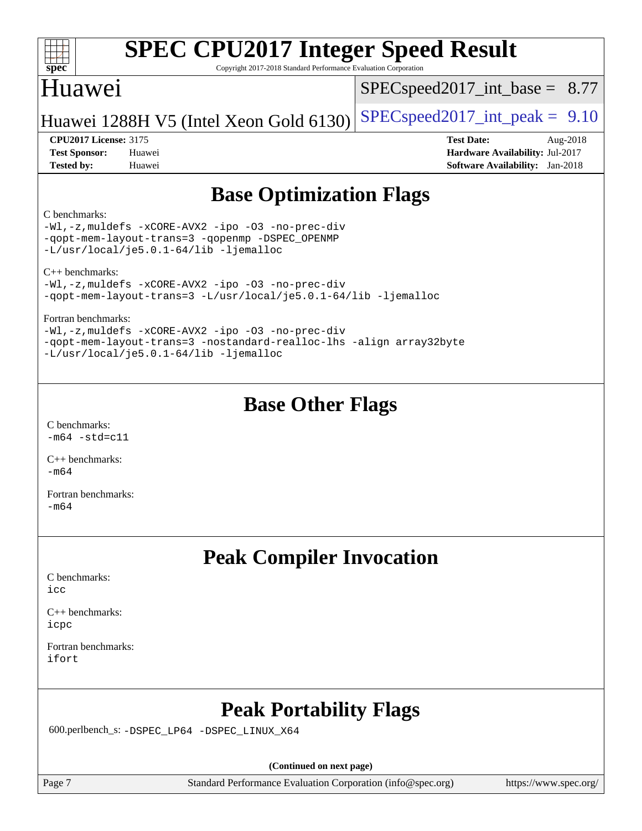#### $+\ +$ **[spec](http://www.spec.org/)**

# **[SPEC CPU2017 Integer Speed Result](http://www.spec.org/auto/cpu2017/Docs/result-fields.html#SPECCPU2017IntegerSpeedResult)**

Copyright 2017-2018 Standard Performance Evaluation Corporation

## Huawei

 $SPECspeed2017\_int\_base = 8.77$ 

### Huawei 1288H V5 (Intel Xeon Gold 6130) [SPECspeed2017\\_int\\_peak =](http://www.spec.org/auto/cpu2017/Docs/result-fields.html#SPECspeed2017intpeak)  $9.10$

**[Test Sponsor:](http://www.spec.org/auto/cpu2017/Docs/result-fields.html#TestSponsor)** Huawei **[Hardware Availability:](http://www.spec.org/auto/cpu2017/Docs/result-fields.html#HardwareAvailability)** Jul-2017 **[Tested by:](http://www.spec.org/auto/cpu2017/Docs/result-fields.html#Testedby)** Huawei **[Software Availability:](http://www.spec.org/auto/cpu2017/Docs/result-fields.html#SoftwareAvailability)** Jan-2018

**[CPU2017 License:](http://www.spec.org/auto/cpu2017/Docs/result-fields.html#CPU2017License)** 3175 **[Test Date:](http://www.spec.org/auto/cpu2017/Docs/result-fields.html#TestDate)** Aug-2018

## **[Base Optimization Flags](http://www.spec.org/auto/cpu2017/Docs/result-fields.html#BaseOptimizationFlags)**

#### [C benchmarks](http://www.spec.org/auto/cpu2017/Docs/result-fields.html#Cbenchmarks):

[-Wl,-z,muldefs](http://www.spec.org/cpu2017/results/res2018q3/cpu2017-20180802-08084.flags.html#user_CCbase_link_force_multiple1_b4cbdb97b34bdee9ceefcfe54f4c8ea74255f0b02a4b23e853cdb0e18eb4525ac79b5a88067c842dd0ee6996c24547a27a4b99331201badda8798ef8a743f577) [-xCORE-AVX2](http://www.spec.org/cpu2017/results/res2018q3/cpu2017-20180802-08084.flags.html#user_CCbase_f-xCORE-AVX2) [-ipo](http://www.spec.org/cpu2017/results/res2018q3/cpu2017-20180802-08084.flags.html#user_CCbase_f-ipo) [-O3](http://www.spec.org/cpu2017/results/res2018q3/cpu2017-20180802-08084.flags.html#user_CCbase_f-O3) [-no-prec-div](http://www.spec.org/cpu2017/results/res2018q3/cpu2017-20180802-08084.flags.html#user_CCbase_f-no-prec-div) [-qopt-mem-layout-trans=3](http://www.spec.org/cpu2017/results/res2018q3/cpu2017-20180802-08084.flags.html#user_CCbase_f-qopt-mem-layout-trans_de80db37974c74b1f0e20d883f0b675c88c3b01e9d123adea9b28688d64333345fb62bc4a798493513fdb68f60282f9a726aa07f478b2f7113531aecce732043) [-qopenmp](http://www.spec.org/cpu2017/results/res2018q3/cpu2017-20180802-08084.flags.html#user_CCbase_qopenmp_16be0c44f24f464004c6784a7acb94aca937f053568ce72f94b139a11c7c168634a55f6653758ddd83bcf7b8463e8028bb0b48b77bcddc6b78d5d95bb1df2967) [-DSPEC\\_OPENMP](http://www.spec.org/cpu2017/results/res2018q3/cpu2017-20180802-08084.flags.html#suite_CCbase_DSPEC_OPENMP) [-L/usr/local/je5.0.1-64/lib](http://www.spec.org/cpu2017/results/res2018q3/cpu2017-20180802-08084.flags.html#user_CCbase_jemalloc_link_path64_4b10a636b7bce113509b17f3bd0d6226c5fb2346b9178c2d0232c14f04ab830f976640479e5c33dc2bcbbdad86ecfb6634cbbd4418746f06f368b512fced5394) [-ljemalloc](http://www.spec.org/cpu2017/results/res2018q3/cpu2017-20180802-08084.flags.html#user_CCbase_jemalloc_link_lib_d1249b907c500fa1c0672f44f562e3d0f79738ae9e3c4a9c376d49f265a04b9c99b167ecedbf6711b3085be911c67ff61f150a17b3472be731631ba4d0471706)

[C++ benchmarks](http://www.spec.org/auto/cpu2017/Docs/result-fields.html#CXXbenchmarks):

[-Wl,-z,muldefs](http://www.spec.org/cpu2017/results/res2018q3/cpu2017-20180802-08084.flags.html#user_CXXbase_link_force_multiple1_b4cbdb97b34bdee9ceefcfe54f4c8ea74255f0b02a4b23e853cdb0e18eb4525ac79b5a88067c842dd0ee6996c24547a27a4b99331201badda8798ef8a743f577) [-xCORE-AVX2](http://www.spec.org/cpu2017/results/res2018q3/cpu2017-20180802-08084.flags.html#user_CXXbase_f-xCORE-AVX2) [-ipo](http://www.spec.org/cpu2017/results/res2018q3/cpu2017-20180802-08084.flags.html#user_CXXbase_f-ipo) [-O3](http://www.spec.org/cpu2017/results/res2018q3/cpu2017-20180802-08084.flags.html#user_CXXbase_f-O3) [-no-prec-div](http://www.spec.org/cpu2017/results/res2018q3/cpu2017-20180802-08084.flags.html#user_CXXbase_f-no-prec-div) [-qopt-mem-layout-trans=3](http://www.spec.org/cpu2017/results/res2018q3/cpu2017-20180802-08084.flags.html#user_CXXbase_f-qopt-mem-layout-trans_de80db37974c74b1f0e20d883f0b675c88c3b01e9d123adea9b28688d64333345fb62bc4a798493513fdb68f60282f9a726aa07f478b2f7113531aecce732043) [-L/usr/local/je5.0.1-64/lib](http://www.spec.org/cpu2017/results/res2018q3/cpu2017-20180802-08084.flags.html#user_CXXbase_jemalloc_link_path64_4b10a636b7bce113509b17f3bd0d6226c5fb2346b9178c2d0232c14f04ab830f976640479e5c33dc2bcbbdad86ecfb6634cbbd4418746f06f368b512fced5394) [-ljemalloc](http://www.spec.org/cpu2017/results/res2018q3/cpu2017-20180802-08084.flags.html#user_CXXbase_jemalloc_link_lib_d1249b907c500fa1c0672f44f562e3d0f79738ae9e3c4a9c376d49f265a04b9c99b167ecedbf6711b3085be911c67ff61f150a17b3472be731631ba4d0471706)

[Fortran benchmarks:](http://www.spec.org/auto/cpu2017/Docs/result-fields.html#Fortranbenchmarks)

[-Wl,-z,muldefs](http://www.spec.org/cpu2017/results/res2018q3/cpu2017-20180802-08084.flags.html#user_FCbase_link_force_multiple1_b4cbdb97b34bdee9ceefcfe54f4c8ea74255f0b02a4b23e853cdb0e18eb4525ac79b5a88067c842dd0ee6996c24547a27a4b99331201badda8798ef8a743f577) [-xCORE-AVX2](http://www.spec.org/cpu2017/results/res2018q3/cpu2017-20180802-08084.flags.html#user_FCbase_f-xCORE-AVX2) [-ipo](http://www.spec.org/cpu2017/results/res2018q3/cpu2017-20180802-08084.flags.html#user_FCbase_f-ipo) [-O3](http://www.spec.org/cpu2017/results/res2018q3/cpu2017-20180802-08084.flags.html#user_FCbase_f-O3) [-no-prec-div](http://www.spec.org/cpu2017/results/res2018q3/cpu2017-20180802-08084.flags.html#user_FCbase_f-no-prec-div) [-qopt-mem-layout-trans=3](http://www.spec.org/cpu2017/results/res2018q3/cpu2017-20180802-08084.flags.html#user_FCbase_f-qopt-mem-layout-trans_de80db37974c74b1f0e20d883f0b675c88c3b01e9d123adea9b28688d64333345fb62bc4a798493513fdb68f60282f9a726aa07f478b2f7113531aecce732043) [-nostandard-realloc-lhs](http://www.spec.org/cpu2017/results/res2018q3/cpu2017-20180802-08084.flags.html#user_FCbase_f_2003_std_realloc_82b4557e90729c0f113870c07e44d33d6f5a304b4f63d4c15d2d0f1fab99f5daaed73bdb9275d9ae411527f28b936061aa8b9c8f2d63842963b95c9dd6426b8a) [-align array32byte](http://www.spec.org/cpu2017/results/res2018q3/cpu2017-20180802-08084.flags.html#user_FCbase_align_array32byte_b982fe038af199962ba9a80c053b8342c548c85b40b8e86eb3cc33dee0d7986a4af373ac2d51c3f7cf710a18d62fdce2948f201cd044323541f22fc0fffc51b6) [-L/usr/local/je5.0.1-64/lib](http://www.spec.org/cpu2017/results/res2018q3/cpu2017-20180802-08084.flags.html#user_FCbase_jemalloc_link_path64_4b10a636b7bce113509b17f3bd0d6226c5fb2346b9178c2d0232c14f04ab830f976640479e5c33dc2bcbbdad86ecfb6634cbbd4418746f06f368b512fced5394) [-ljemalloc](http://www.spec.org/cpu2017/results/res2018q3/cpu2017-20180802-08084.flags.html#user_FCbase_jemalloc_link_lib_d1249b907c500fa1c0672f44f562e3d0f79738ae9e3c4a9c376d49f265a04b9c99b167ecedbf6711b3085be911c67ff61f150a17b3472be731631ba4d0471706)

## **[Base Other Flags](http://www.spec.org/auto/cpu2017/Docs/result-fields.html#BaseOtherFlags)**

[C benchmarks](http://www.spec.org/auto/cpu2017/Docs/result-fields.html#Cbenchmarks):  $-m64$   $-std=cl1$ 

[C++ benchmarks:](http://www.spec.org/auto/cpu2017/Docs/result-fields.html#CXXbenchmarks)  $-m64$ 

[Fortran benchmarks](http://www.spec.org/auto/cpu2017/Docs/result-fields.html#Fortranbenchmarks): [-m64](http://www.spec.org/cpu2017/results/res2018q3/cpu2017-20180802-08084.flags.html#user_FCbase_intel_intel64_18.0_af43caccfc8ded86e7699f2159af6efc7655f51387b94da716254467f3c01020a5059329e2569e4053f409e7c9202a7efc638f7a6d1ffb3f52dea4a3e31d82ab)

## **[Peak Compiler Invocation](http://www.spec.org/auto/cpu2017/Docs/result-fields.html#PeakCompilerInvocation)**

[C benchmarks](http://www.spec.org/auto/cpu2017/Docs/result-fields.html#Cbenchmarks): [icc](http://www.spec.org/cpu2017/results/res2018q3/cpu2017-20180802-08084.flags.html#user_CCpeak_intel_icc_18.0_66fc1ee009f7361af1fbd72ca7dcefbb700085f36577c54f309893dd4ec40d12360134090235512931783d35fd58c0460139e722d5067c5574d8eaf2b3e37e92)

[C++ benchmarks:](http://www.spec.org/auto/cpu2017/Docs/result-fields.html#CXXbenchmarks) [icpc](http://www.spec.org/cpu2017/results/res2018q3/cpu2017-20180802-08084.flags.html#user_CXXpeak_intel_icpc_18.0_c510b6838c7f56d33e37e94d029a35b4a7bccf4766a728ee175e80a419847e808290a9b78be685c44ab727ea267ec2f070ec5dc83b407c0218cded6866a35d07)

[Fortran benchmarks](http://www.spec.org/auto/cpu2017/Docs/result-fields.html#Fortranbenchmarks): [ifort](http://www.spec.org/cpu2017/results/res2018q3/cpu2017-20180802-08084.flags.html#user_FCpeak_intel_ifort_18.0_8111460550e3ca792625aed983ce982f94888b8b503583aa7ba2b8303487b4d8a21a13e7191a45c5fd58ff318f48f9492884d4413fa793fd88dd292cad7027ca)

## **[Peak Portability Flags](http://www.spec.org/auto/cpu2017/Docs/result-fields.html#PeakPortabilityFlags)**

600.perlbench\_s: [-DSPEC\\_LP64](http://www.spec.org/cpu2017/results/res2018q3/cpu2017-20180802-08084.flags.html#b600.perlbench_s_peakPORTABILITY_DSPEC_LP64) [-DSPEC\\_LINUX\\_X64](http://www.spec.org/cpu2017/results/res2018q3/cpu2017-20180802-08084.flags.html#b600.perlbench_s_peakCPORTABILITY_DSPEC_LINUX_X64)

**(Continued on next page)**

Page 7 Standard Performance Evaluation Corporation [\(info@spec.org\)](mailto:info@spec.org) <https://www.spec.org/>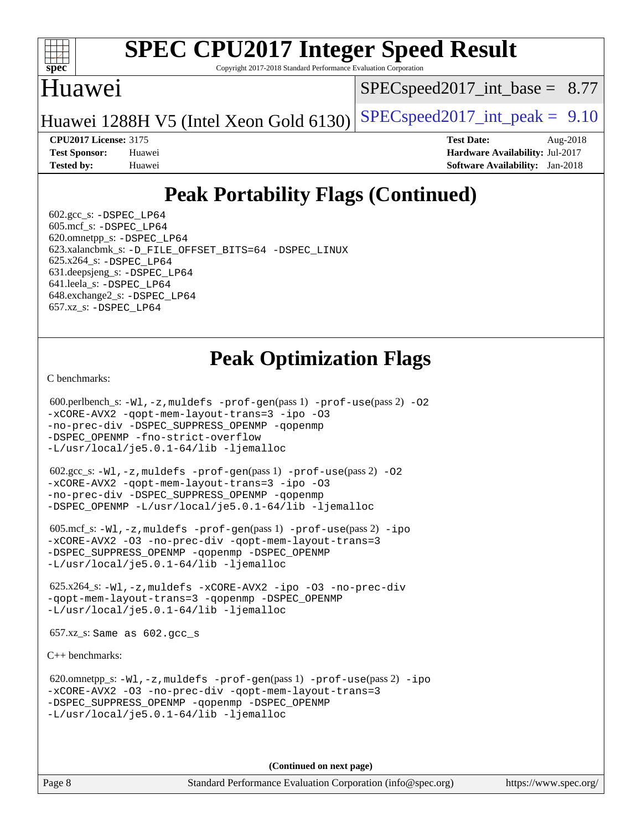

Copyright 2017-2018 Standard Performance Evaluation Corporation

#### Huawei

 $SPECspeed2017\_int\_base = 8.77$ 

Huawei 1288H V5 (Intel Xeon Gold 6130) SPECspeed 2017\_int\_peak =  $9.10$ 

**[CPU2017 License:](http://www.spec.org/auto/cpu2017/Docs/result-fields.html#CPU2017License)** 3175 **[Test Date:](http://www.spec.org/auto/cpu2017/Docs/result-fields.html#TestDate)** Aug-2018

**[Test Sponsor:](http://www.spec.org/auto/cpu2017/Docs/result-fields.html#TestSponsor)** Huawei **[Hardware Availability:](http://www.spec.org/auto/cpu2017/Docs/result-fields.html#HardwareAvailability)** Jul-2017 **[Tested by:](http://www.spec.org/auto/cpu2017/Docs/result-fields.html#Testedby)** Huawei **[Software Availability:](http://www.spec.org/auto/cpu2017/Docs/result-fields.html#SoftwareAvailability)** Jan-2018

## **[Peak Portability Flags \(Continued\)](http://www.spec.org/auto/cpu2017/Docs/result-fields.html#PeakPortabilityFlags)**

 $602.\text{gcc}\simeq$  -DSPEC LP64 605.mcf\_s: [-DSPEC\\_LP64](http://www.spec.org/cpu2017/results/res2018q3/cpu2017-20180802-08084.flags.html#suite_peakPORTABILITY605_mcf_s_DSPEC_LP64) 620.omnetpp\_s: [-DSPEC\\_LP64](http://www.spec.org/cpu2017/results/res2018q3/cpu2017-20180802-08084.flags.html#suite_peakPORTABILITY620_omnetpp_s_DSPEC_LP64) 623.xalancbmk\_s: [-D\\_FILE\\_OFFSET\\_BITS=64](http://www.spec.org/cpu2017/results/res2018q3/cpu2017-20180802-08084.flags.html#user_peakPORTABILITY623_xalancbmk_s_file_offset_bits_64_5ae949a99b284ddf4e95728d47cb0843d81b2eb0e18bdfe74bbf0f61d0b064f4bda2f10ea5eb90e1dcab0e84dbc592acfc5018bc955c18609f94ddb8d550002c) [-DSPEC\\_LINUX](http://www.spec.org/cpu2017/results/res2018q3/cpu2017-20180802-08084.flags.html#b623.xalancbmk_s_peakCXXPORTABILITY_DSPEC_LINUX) 625.x264\_s: [-DSPEC\\_LP64](http://www.spec.org/cpu2017/results/res2018q3/cpu2017-20180802-08084.flags.html#suite_peakPORTABILITY625_x264_s_DSPEC_LP64) 631.deepsjeng\_s: [-DSPEC\\_LP64](http://www.spec.org/cpu2017/results/res2018q3/cpu2017-20180802-08084.flags.html#suite_peakPORTABILITY631_deepsjeng_s_DSPEC_LP64) 641.leela\_s: [-DSPEC\\_LP64](http://www.spec.org/cpu2017/results/res2018q3/cpu2017-20180802-08084.flags.html#suite_peakPORTABILITY641_leela_s_DSPEC_LP64) 648.exchange2\_s: [-DSPEC\\_LP64](http://www.spec.org/cpu2017/results/res2018q3/cpu2017-20180802-08084.flags.html#suite_peakPORTABILITY648_exchange2_s_DSPEC_LP64) 657.xz\_s: [-DSPEC\\_LP64](http://www.spec.org/cpu2017/results/res2018q3/cpu2017-20180802-08084.flags.html#suite_peakPORTABILITY657_xz_s_DSPEC_LP64)

## **[Peak Optimization Flags](http://www.spec.org/auto/cpu2017/Docs/result-fields.html#PeakOptimizationFlags)**

[C benchmarks](http://www.spec.org/auto/cpu2017/Docs/result-fields.html#Cbenchmarks):

```
(info@spec.org)https://www.spec.org/
  600.perlbench_s: -Wl,-z,muldefs -prof-gen(pass 1) -prof-use(pass 2) -O2
-xCORE-AVX2 -qopt-mem-layout-trans=3 -ipo -O3
-no-prec-div -DSPEC_SUPPRESS_OPENMP -qopenmp
-DSPEC_OPENMP -fno-strict-overflow
-L/usr/local/je5.0.1-64/lib -ljemalloc
  602.gcc_s: -Wl,-z,muldefs -prof-gen(pass 1) -prof-use(pass 2) -O2
-xCORE-AVX2 -qopt-mem-layout-trans=3 -ipo -O3
-no-prec-div -DSPEC_SUPPRESS_OPENMP -qopenmp
-DSPEC_OPENMP -L/usr/local/je5.0.1-64/lib -ljemalloc
  605.mcf_s: -Wl,-z,muldefs -prof-gen(pass 1) -prof-use(pass 2) -ipo
-xCORE-AVX2 -O3 -no-prec-div -qopt-mem-layout-trans=3
-DSPEC_SUPPRESS_OPENMP -qopenmp -DSPEC_OPENMP
-L/usr/local/je5.0.1-64/lib -ljemalloc
  625.x264_s: -Wl,-z,muldefs -xCORE-AVX2 -ipo -O3 -no-prec-div
-qopt-mem-layout-trans=3 -qopenmp -DSPEC_OPENMP
-L/usr/local/je5.0.1-64/lib -ljemalloc
  657.xz_s: Same as 602.gcc_s
C++ benchmarks: 
  620.omnetpp_s: -Wl,-z,muldefs -prof-gen(pass 1) -prof-use(pass 2) -ipo
-xCORE-AVX2 -O3 -no-prec-div -qopt-mem-layout-trans=3
-DSPEC_SUPPRESS_OPENMP -qopenmp -DSPEC_OPENMP
-L/usr/local/je5.0.1-64/lib -ljemalloc
                                    (Continued on next page)
```